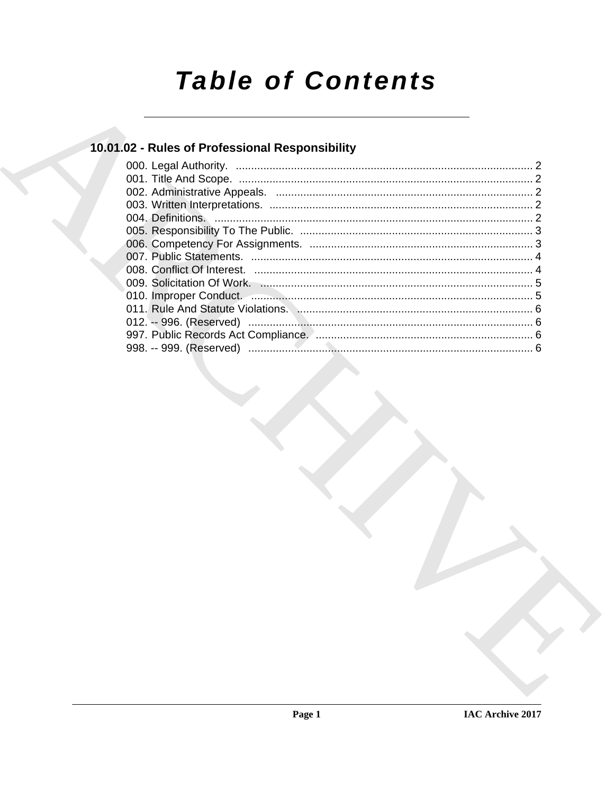# **Table of Contents**

### 10.01.02 - Rules of Professional Responsibility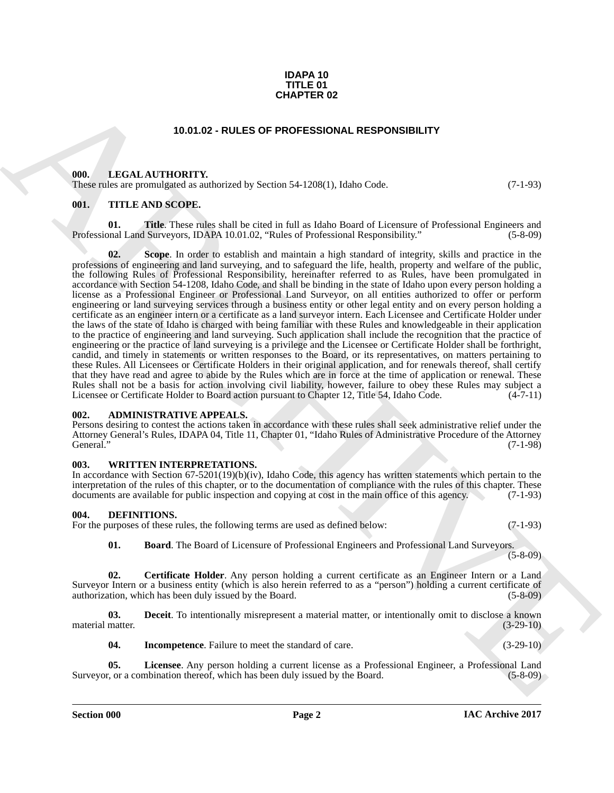#### **IDAPA 10 TITLE 01 CHAPTER 02**

#### **10.01.02 - RULES OF PROFESSIONAL RESPONSIBILITY**

#### <span id="page-1-1"></span><span id="page-1-0"></span>**000. LEGAL AUTHORITY.**

These rules are promulgated as authorized by Section 54-1208(1), Idaho Code. (7-1-93)

#### <span id="page-1-2"></span>**001. TITLE AND SCOPE.**

**01. Title**. These rules shall be cited in full as Idaho Board of Licensure of Professional Engineers and Professional Land Surveyors, IDAPA 10.01.02, "Rules of Professional Responsibility." (5-8-09)

**CHAPTER 02**<br>
10.01.02 - RULES OF PROFESSIONAL RESPONSIBILITY<br>
10.01. LEGAL AUTIONITY<br>
10.01. ATTILE AND SCOPE.<br>
10.01. TITLE AND SCOPE.<br>
10.1. TITLE AND SCOPE.<br>
10.1. TITLE AND SCOPE.<br>
10.1. TITLE AND SCOPE.<br>
10.1. TITLE **02. Scope**. In order to establish and maintain a high standard of integrity, skills and practice in the professions of engineering and land surveying, and to safeguard the life, health, property and welfare of the public, the following Rules of Professional Responsibility, hereinafter referred to as Rules, have been promulgated in accordance with Section 54-1208, Idaho Code, and shall be binding in the state of Idaho upon every person holding a license as a Professional Engineer or Professional Land Surveyor, on all entities authorized to offer or perform engineering or land surveying services through a business entity or other legal entity and on every person holding a certificate as an engineer intern or a certificate as a land surveyor intern. Each Licensee and Certificate Holder under the laws of the state of Idaho is charged with being familiar with these Rules and knowledgeable in their application to the practice of engineering and land surveying. Such application shall include the recognition that the practice of engineering or the practice of land surveying is a privilege and the Licensee or Certificate Holder shall be forthright, candid, and timely in statements or written responses to the Board, or its representatives, on matters pertaining to these Rules. All Licensees or Certificate Holders in their original application, and for renewals thereof, shall certify that they have read and agree to abide by the Rules which are in force at the time of application or renewal. These Rules shall not be a basis for action involving civil liability, however, failure to obey these Rules may subject a Licensee or Certificate Holder to Board action pursuant to Chapter 12. Title 54, Idaho Code. (4-7-11) Licensee or Certificate Holder to Board action pursuant to Chapter 12, Title 54, Idaho Code.

#### <span id="page-1-3"></span>**002. ADMINISTRATIVE APPEALS.**

Persons desiring to contest the actions taken in accordance with these rules shall seek administrative relief under the Attorney General's Rules, IDAPA 04, Title 11, Chapter 01, "Idaho Rules of Administrative Procedure of the Attorney General." (7-1-98)

#### <span id="page-1-4"></span>**003. WRITTEN INTERPRETATIONS.**

In accordance with Section 67-5201(19)(b)(iv), Idaho Code, this agency has written statements which pertain to the interpretation of the rules of this chapter, or to the documentation of compliance with the rules of this chapter. These documents are available for public inspection and copying at cost in the main office of this agency. (7-1-93)

#### <span id="page-1-6"></span><span id="page-1-5"></span>**004. DEFINITIONS.**

| For the purposes of these rules, the following terms are used as defined below: | $(7-1-93)$ |
|---------------------------------------------------------------------------------|------------|
|---------------------------------------------------------------------------------|------------|

<span id="page-1-8"></span><span id="page-1-7"></span>**01. Board**. The Board of Licensure of Professional Engineers and Professional Land Surveyors.

 $(5-8-09)$ 

**02. Certificate Holder**. Any person holding a current certificate as an Engineer Intern or a Land Surveyor Intern or a business entity (which is also herein referred to as a "person") holding a current certificate of authorization, which has been duly issued by the Board. (5-8-09) authorization, which has been duly issued by the Board.

**03. Deceit**. To intentionally misrepresent a material matter, or intentionally omit to disclose a known material matter. (3-29-10)

<span id="page-1-11"></span><span id="page-1-10"></span><span id="page-1-9"></span>**04.** Incompetence. Failure to meet the standard of care.  $(3-29-10)$ 

**05.** Licensee. Any person holding a current license as a Professional Engineer, a Professional Land r, or a combination thereof, which has been duly issued by the Board. (5-8-09) Surveyor, or a combination thereof, which has been duly issued by the Board.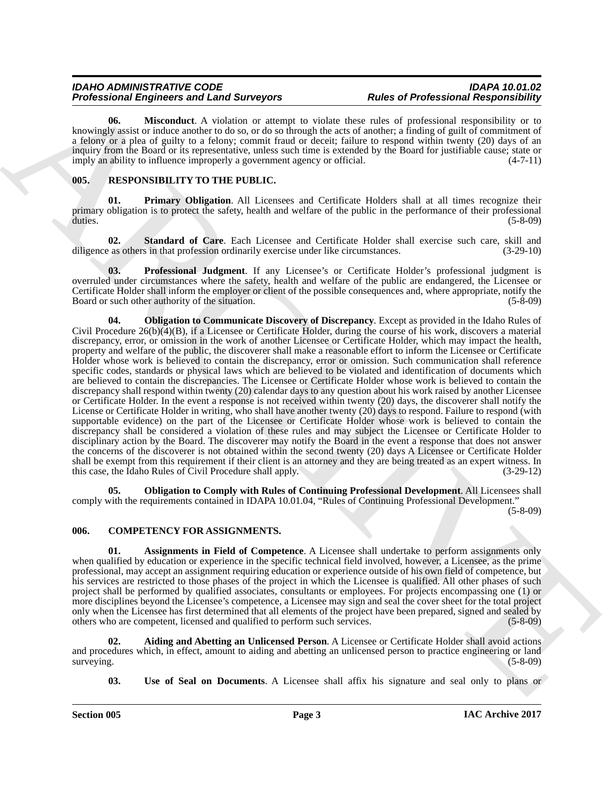#### *IDAHO ADMINISTRATIVE CODE IDAPA 10.01.02 Professional Engineers and Land Surveyors*

<span id="page-2-6"></span>**06. Misconduct**. A violation or attempt to violate these rules of professional responsibility or to knowingly assist or induce another to do so, or do so through the acts of another; a finding of guilt of commitment of a felony or a plea of guilty to a felony; commit fraud or deceit; failure to respond within twenty (20) days of an inquiry from the Board or its representative, unless such time is extended by the Board for justifiable cause; state or imply an ability to influence improperly a government agency or official. (4-7-11)

#### <span id="page-2-7"></span><span id="page-2-0"></span>**005. RESPONSIBILITY TO THE PUBLIC.**

<span id="page-2-10"></span>**01. Primary Obligation**. All Licensees and Certificate Holders shall at all times recognize their primary obligation is to protect the safety, health and welfare of the public in the performance of their professional duties. (5-8-09)

<span id="page-2-12"></span>**02. Standard of Care**. Each Licensee and Certificate Holder shall exercise such care, skill and as others in that profession ordinarily exercise under like circumstances.  $(3-29-10)$ diligence as others in that profession ordinarily exercise under like circumstances.

<span id="page-2-11"></span><span id="page-2-8"></span>**03. Professional Judgment**. If any Licensee's or Certificate Holder's professional judgment is overruled under circumstances where the safety, health and welfare of the public are endangered, the Licensee or Certificate Holder shall inform the employer or client of the possible consequences and, where appropriate, notify the Board or such other authority of the situation. (5-8-09)

Probassional Brigades and Law spectra and Law spectra and Rachimar Responsibility in the spectra and the probassional Brigades and Archimar Schwarz (1976) and the spectra and the spectra and the spectra and the spectra an **04. Obligation to Communicate Discovery of Discrepancy**. Except as provided in the Idaho Rules of Civil Procedure 26(b)(4)(B), if a Licensee or Certificate Holder, during the course of his work, discovers a material discrepancy, error, or omission in the work of another Licensee or Certificate Holder, which may impact the health, property and welfare of the public, the discoverer shall make a reasonable effort to inform the Licensee or Certificate Holder whose work is believed to contain the discrepancy, error or omission. Such communication shall reference specific codes, standards or physical laws which are believed to be violated and identification of documents which are believed to contain the discrepancies. The Licensee or Certificate Holder whose work is believed to contain the discrepancy shall respond within twenty (20) calendar days to any question about his work raised by another Licensee or Certificate Holder. In the event a response is not received within twenty (20) days, the discoverer shall notify the License or Certificate Holder in writing, who shall have another twenty (20) days to respond. Failure to respond (with supportable evidence) on the part of the Licensee or Certificate Holder whose work is believed to contain the discrepancy shall be considered a violation of these rules and may subject the Licensee or Certificate Holder to disciplinary action by the Board. The discoverer may notify the Board in the event a response that does not answer the concerns of the discoverer is not obtained within the second twenty (20) days A Licensee or Certificate Holder shall be exempt from this requirement if their client is an attorney and they are being treated as an expert witness. In this case, the Idaho Rules of Civil Procedure shall apply. (3-29-12)

<span id="page-2-9"></span>**05. Obligation to Comply with Rules of Continuing Professional Development**. All Licensees shall comply with the requirements contained in IDAPA 10.01.04, "Rules of Continuing Professional Development."

(5-8-09)

#### <span id="page-2-2"></span><span id="page-2-1"></span>**006. COMPETENCY FOR ASSIGNMENTS.**

<span id="page-2-4"></span>**01. Assignments in Field of Competence**. A Licensee shall undertake to perform assignments only when qualified by education or experience in the specific technical field involved, however, a Licensee, as the prime professional, may accept an assignment requiring education or experience outside of his own field of competence, but his services are restricted to those phases of the project in which the Licensee is qualified. All other phases of such project shall be performed by qualified associates, consultants or employees. For projects encompassing one (1) or more disciplines beyond the Licensee's competence, a Licensee may sign and seal the cover sheet for the total project only when the Licensee has first determined that all elements of the project have been prepared, signed and sealed by others who are competent, licensed and qualified to perform such services. (5-8-09) others who are competent, licensed and qualified to perform such services.

**02. Aiding and Abetting an Unlicensed Person**. A Licensee or Certificate Holder shall avoid actions and procedures which, in effect, amount to aiding and abetting an unlicensed person to practice engineering or land surveying. (5-8-09) surveying. (5-8-09)

<span id="page-2-5"></span><span id="page-2-3"></span>**03.** Use of Seal on Documents. A Licensee shall affix his signature and seal only to plans or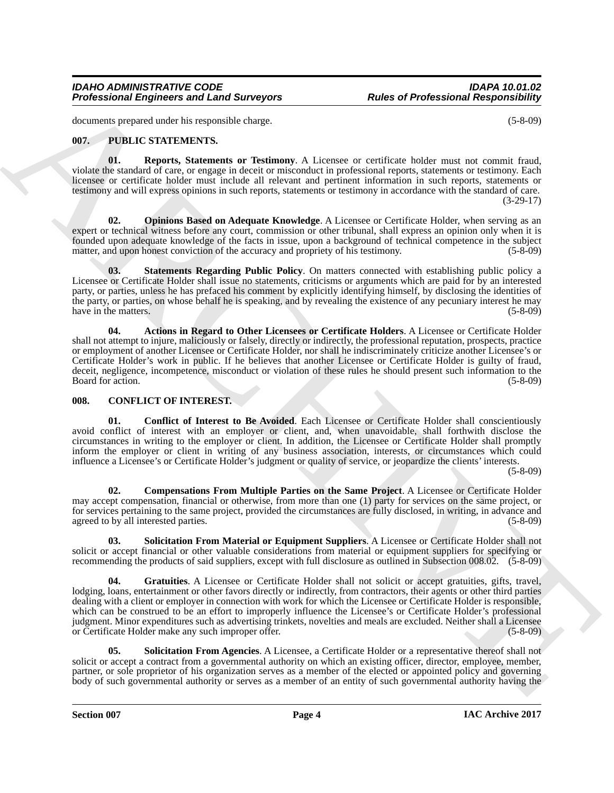#### *IDAHO ADMINISTRATIVE CODE IDAPA 10.01.02 Professional Engineers and Land Surveyors*

documents prepared under his responsible charge. (5-8-09)

#### <span id="page-3-11"></span><span id="page-3-8"></span><span id="page-3-0"></span>**007. PUBLIC STATEMENTS.**

**01. Reports, Statements or Testimony**. A Licensee or certificate holder must not commit fraud, violate the standard of care, or engage in deceit or misconduct in professional reports, statements or testimony. Each licensee or certificate holder must include all relevant and pertinent information in such reports, statements or testimony and will express opinions in such reports, statements or testimony in accordance with the standard of care. (3-29-17)

<span id="page-3-10"></span>**02. Opinions Based on Adequate Knowledge**. A Licensee or Certificate Holder, when serving as an expert or technical witness before any court, commission or other tribunal, shall express an opinion only when it is founded upon adequate knowledge of the facts in issue, upon a background of technical competence in the subject matter, and upon honest conviction of the accuracy and propriety of his testimony. (5-8-09)

<span id="page-3-12"></span>**03. Statements Regarding Public Policy**. On matters connected with establishing public policy a Licensee or Certificate Holder shall issue no statements, criticisms or arguments which are paid for by an interested party, or parties, unless he has prefaced his comment by explicitly identifying himself, by disclosing the identities of the party, or parties, on whose behalf he is speaking, and by revealing the existence of any pecuniary interest he may have in the matters. (5-8-09)

<span id="page-3-9"></span>**04. Actions in Regard to Other Licensees or Certificate Holders**. A Licensee or Certificate Holder shall not attempt to injure, maliciously or falsely, directly or indirectly, the professional reputation, prospects, practice or employment of another Licensee or Certificate Holder, nor shall he indiscriminately criticize another Licensee's or Certificate Holder's work in public. If he believes that another Licensee or Certificate Holder is guilty of fraud, deceit, negligence, incompetence, misconduct or violation of these rules he should present such information to the Board for action. (5-8-09) Board for action.

#### <span id="page-3-2"></span><span id="page-3-1"></span>**008. CONFLICT OF INTEREST.**

<span id="page-3-4"></span>**01. Conflict of Interest to Be Avoided**. Each Licensee or Certificate Holder shall conscientiously avoid conflict of interest with an employer or client, and, when unavoidable, shall forthwith disclose the circumstances in writing to the employer or client. In addition, the Licensee or Certificate Holder shall promptly inform the employer or client in writing of any business association, interests, or circumstances which could influence a Licensee's or Certificate Holder's judgment or quality of service, or jeopardize the clients' interests.

(5-8-09)

<span id="page-3-3"></span>**02. Compensations From Multiple Parties on the Same Project**. A Licensee or Certificate Holder may accept compensation, financial or otherwise, from more than one (1) party for services on the same project, or for services pertaining to the same project, provided the circumstances are fully disclosed, in writing, in advance and agreed to by all interested parties. (5-8-09)

<span id="page-3-7"></span><span id="page-3-5"></span>**03. Solicitation From Material or Equipment Suppliers**. A Licensee or Certificate Holder shall not solicit or accept financial or other valuable considerations from material or equipment suppliers for specifying or recommending the products of said suppliers, except with full disclosure as outlined in Subsection 008.02. (5-8-09)

Professional Engineers and Land Surveyors<br>
Solution of the properties and Land Surveyors<br>
Solution of the control of the control of the control of the control of the control of the control of the control of the control of **04. Gratuities**. A Licensee or Certificate Holder shall not solicit or accept gratuities, gifts, travel, lodging, loans, entertainment or other favors directly or indirectly, from contractors, their agents or other third parties dealing with a client or employer in connection with work for which the Licensee or Certificate Holder is responsible, which can be construed to be an effort to improperly influence the Licensee's or Certificate Holder's professional judgment. Minor expenditures such as advertising trinkets, novelties and meals are excluded. Neither shall a Licensee or Certificate Holder make any such improper offer. (5-8-09)

<span id="page-3-6"></span>**05. Solicitation From Agencies**. A Licensee, a Certificate Holder or a representative thereof shall not solicit or accept a contract from a governmental authority on which an existing officer, director, employee, member, partner, or sole proprietor of his organization serves as a member of the elected or appointed policy and governing body of such governmental authority or serves as a member of an entity of such governmental authority having the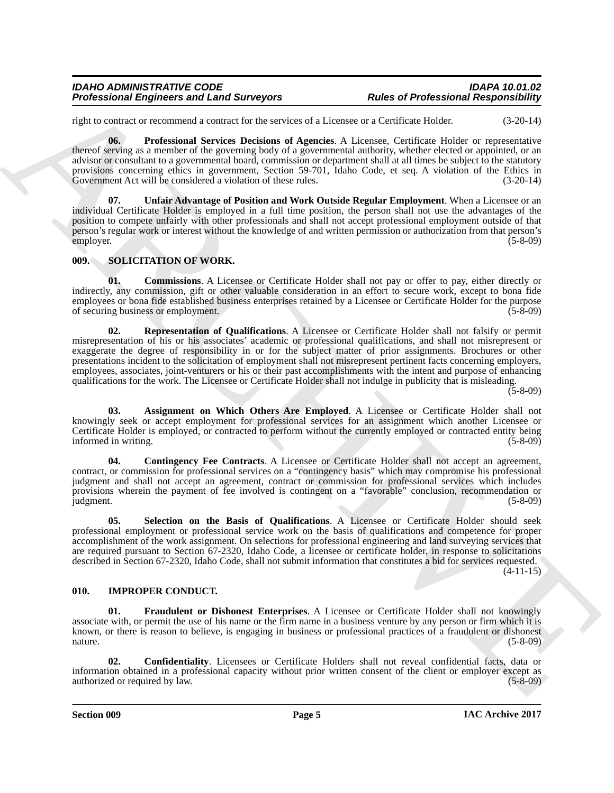#### *IDAHO ADMINISTRATIVE CODE IDAPA 10.01.02 Professional Engineers and Land Surveyors*

right to contract or recommend a contract for the services of a Licensee or a Certificate Holder. (3-20-14)

<span id="page-4-2"></span>**06. Professional Services Decisions of Agencies**. A Licensee, Certificate Holder or representative thereof serving as a member of the governing body of a governmental authority, whether elected or appointed, or an advisor or consultant to a governmental board, commission or department shall at all times be subject to the statutory provisions concerning ethics in government, Section 59-701, Idaho Code, et seq. A violation of the Ethics in Government Act will be considered a violation of these rules. (3-20-14) Government Act will be considered a violation of these rules.

<span id="page-4-3"></span>**07. Unfair Advantage of Position and Work Outside Regular Employment**. When a Licensee or an individual Certificate Holder is employed in a full time position, the person shall not use the advantages of the position to compete unfairly with other professionals and shall not accept professional employment outside of that person's regular work or interest without the knowledge of and written permission or authorization from that person's employer. (5-8-09)

#### <span id="page-4-7"></span><span id="page-4-0"></span>**009. SOLICITATION OF WORK.**

<span id="page-4-11"></span><span id="page-4-9"></span>**01. Commissions**. A Licensee or Certificate Holder shall not pay or offer to pay, either directly or indirectly, any commission, gift or other valuable consideration in an effort to secure work, except to bona fide employees or bona fide established business enterprises retained by a Licensee or Certificate Holder for the purpose of securing business or employment. (5-8-09) of securing business or employment.

Professional Engineers and Land Surveyors<br>
These of Professional Responsibility<br>
ratio or venture of the state of the state of the state of the state of the state of the state of the state of the<br>
state of the state of th **02. Representation of Qualifications**. A Licensee or Certificate Holder shall not falsify or permit misrepresentation of his or his associates' academic or professional qualifications, and shall not misrepresent or exaggerate the degree of responsibility in or for the subject matter of prior assignments. Brochures or other presentations incident to the solicitation of employment shall not misrepresent pertinent facts concerning employers, employees, associates, joint-venturers or his or their past accomplishments with the intent and purpose of enhancing qualifications for the work. The Licensee or Certificate Holder shall not indulge in publicity that is misleading.

 $(5-8-09)$ 

<span id="page-4-8"></span>**03. Assignment on Which Others Are Employed**. A Licensee or Certificate Holder shall not knowingly seek or accept employment for professional services for an assignment which another Licensee or Certificate Holder is employed, or contracted to perform without the currently employed or contracted entity being informed in writing. (5-8-09) informed in writing.

<span id="page-4-10"></span>**04. Contingency Fee Contracts**. A Licensee or Certificate Holder shall not accept an agreement, contract, or commission for professional services on a "contingency basis" which may compromise his professional judgment and shall not accept an agreement, contract or commission for professional services which includes provisions wherein the payment of fee involved is contingent on a "favorable" conclusion, recommendation or judgment. (5-8-09) judgment. (5-8-09)

<span id="page-4-12"></span>**05. Selection on the Basis of Qualifications**. A Licensee or Certificate Holder should seek professional employment or professional service work on the basis of qualifications and competence for proper accomplishment of the work assignment. On selections for professional engineering and land surveying services that are required pursuant to Section 67-2320, Idaho Code, a licensee or certificate holder, in response to solicitations described in Section 67-2320, Idaho Code, shall not submit information that constitutes a bid for services requested.  $(4-11-15)$ 

### <span id="page-4-4"></span><span id="page-4-1"></span>**010. IMPROPER CONDUCT.**

<span id="page-4-6"></span>**01. Fraudulent or Dishonest Enterprises**. A Licensee or Certificate Holder shall not knowingly associate with, or permit the use of his name or the firm name in a business venture by any person or firm which it is known, or there is reason to believe, is engaging in business or professional practices of a fraudulent or dishonest nature. (5-8-09)

<span id="page-4-5"></span>**02. Confidentiality**. Licensees or Certificate Holders shall not reveal confidential facts, data or information obtained in a professional capacity without prior written consent of the client or employer except as authorized or required by law. (5-8-09) authorized or required by law.

**Section 009 Page 5**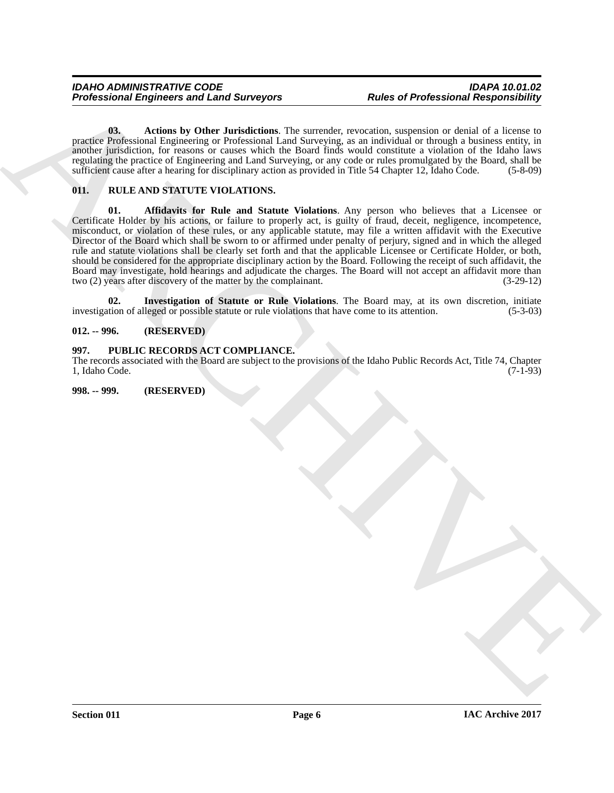<span id="page-5-4"></span>**03. Actions by Other Jurisdictions**. The surrender, revocation, suspension or denial of a license to practice Professional Engineering or Professional Land Surveying, as an individual or through a business entity, in another jurisdiction, for reasons or causes which the Board finds would constitute a violation of the Idaho laws regulating the practice of Engineering and Land Surveying, or any code or rules promulgated by the Board, shall be sufficient cause after a hearing for disciplinary action as provided in Title 54 Chapter 12, Idaho Code. (5-8-09)

#### <span id="page-5-6"></span><span id="page-5-5"></span><span id="page-5-0"></span>**011. RULE AND STATUTE VIOLATIONS.**

Professional Engineers and Land Surveyors<br>
Under of Professional Responsibility<br>
The samples of Red Surveyors<br>
The samples consideration of the samples consideration of the samples of the samples of the samples of the sam **01. Affidavits for Rule and Statute Violations**. Any person who believes that a Licensee or Certificate Holder by his actions, or failure to properly act, is guilty of fraud, deceit, negligence, incompetence, misconduct, or violation of these rules, or any applicable statute, may file a written affidavit with the Executive Director of the Board which shall be sworn to or affirmed under penalty of perjury, signed and in which the alleged rule and statute violations shall be clearly set forth and that the applicable Licensee or Certificate Holder, or both, should be considered for the appropriate disciplinary action by the Board. Following the receipt of such affidavit, the Board may investigate, hold hearings and adjudicate the charges. The Board will not accept an affidavit more than two (2) years after discovery of the matter by the complainant. (3-29-12) two (2) years after discovery of the matter by the complainant.

<span id="page-5-7"></span>**02. Investigation of Statute or Rule Violations**. The Board may, at its own discretion, initiate investigation of alleged or possible statute or rule violations that have come to its attention. (5-3-03)

#### <span id="page-5-1"></span>**012. -- 996. (RESERVED)**

#### <span id="page-5-2"></span>**997. PUBLIC RECORDS ACT COMPLIANCE.**

The records associated with the Board are subject to the provisions of the Idaho Public Records Act, Title 74, Chapter 1. Idaho Code. (7-1-93) 1, Idaho Code.

<span id="page-5-3"></span>**998. -- 999. (RESERVED)**